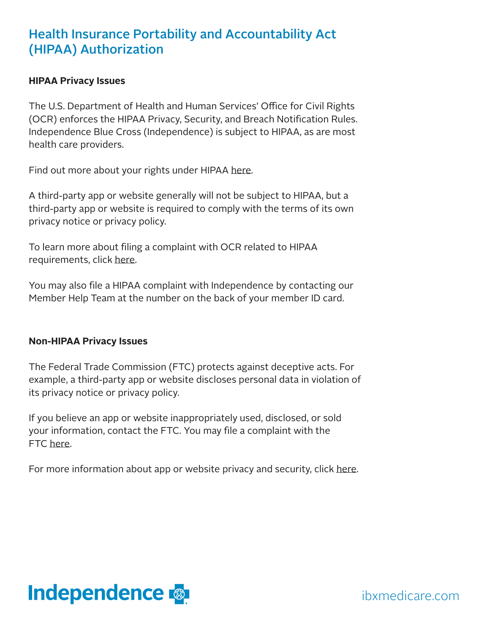## Health Insurance Portability and Accountability Act (HIPAA) Authorization

## **HIPAA Privacy Issues**

The U.S. Department of Health and Human Services' Office for Civil Rights (OCR) enforces the HIPAA Privacy, Security, and Breach Notification Rules. Independence Blue Cross (Independence) is subject to HIPAA, as are most health care providers.

Find out more about your rights under HIPAA [here.](https://www.hhs.gov/hipaa/for-individuals/index.html)

A third-party app or website generally will not be subject to HIPAA, but a third-party app or website is required to comply with the terms of its own privacy notice or privacy policy.

To learn more about filing a complaint with OCR related to HIPAA requirements, click [here.](https://www.hhs.gov/hipaa/filing-a-complaint/index.html)

You may also file a HIPAA complaint with Independence by contacting our Member Help Team at the number on the back of your member ID card.

## **Non-HIPAA Privacy Issues**

The Federal Trade Commission (FTC) protects against deceptive acts. For example, a third-party app or website discloses personal data in violation of its privacy notice or privacy policy.

If you believe an app or website inappropriately used, disclosed, or sold your information, contact the FTC. You may file a complaint with the FTC [here](https://reportfraud.ftc.gov/#/?pid=A).

For more information about app or website privacy and security, click [here.](https://www.consumer.ftc.gov/articles/0018-understanding-mobile-apps)



ibxmedicare.com